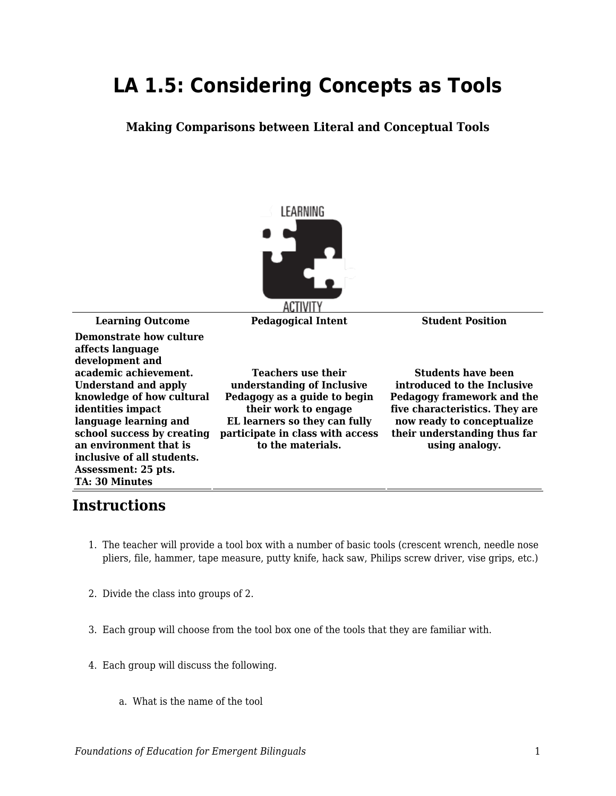## **LA 1.5: Considering Concepts as Tools**

**Making Comparisons between Literal and Conceptual Tools**



**Learning Outcome Pedagogical Intent Student Position**

**Demonstrate how culture affects language development and academic achievement. Understand and apply knowledge of how cultural identities impact language learning and school success by creating an environment that is inclusive of all students. Assessment: 25 pts. TA: 30 Minutes**

**Teachers use their understanding of Inclusive Pedagogy as a guide to begin their work to engage EL learners so they can fully participate in class with access to the materials.**

**Students have been introduced to the Inclusive Pedagogy framework and the five characteristics. They are now ready to conceptualize their understanding thus far using analogy.**

## **Instructions**

- 1. The teacher will provide a tool box with a number of basic tools (crescent wrench, needle nose pliers, file, hammer, tape measure, putty knife, hack saw, Philips screw driver, vise grips, etc.)
- 2. Divide the class into groups of 2.
- 3. Each group will choose from the tool box one of the tools that they are familiar with.
- 4. Each group will discuss the following.
	- a. What is the name of the tool